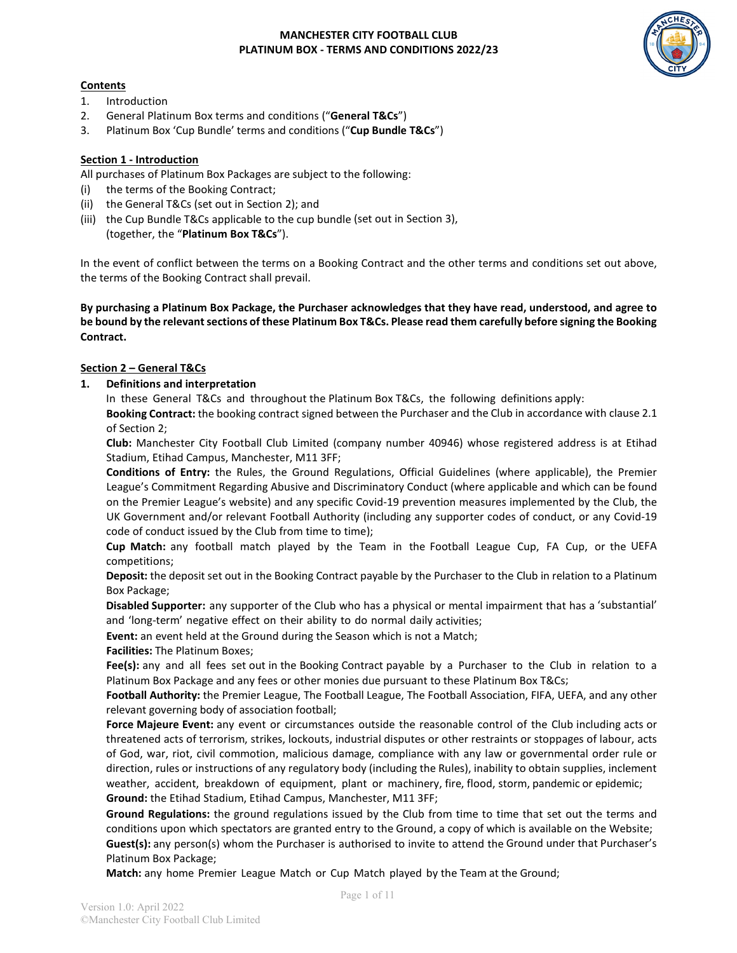## **Contents**

- 1. Introduction
- 2. General Platinum Box terms and conditions ("**General T&Cs**")
- 3. Platinum Box 'Cup Bundle' terms and conditions ("**Cup Bundle T&Cs**")

### **Section 1 - Introduction**

All purchases of Platinum Box Packages are subject to the following:

- (i) the terms of the Booking Contract;
- (ii) the General T&Cs (set out in Section 2); and
- (iii) the Cup Bundle T&Cs applicable to the cup bundle (set out in Section 3), (together, the "**Platinum Box T&Cs**").

In the event of conflict between the terms on a Booking Contract and the other terms and conditions set out above, the terms of the Booking Contract shall prevail.

**By purchasing a Platinum Box Package, the Purchaser acknowledges that they have read, understood, and agree to be bound by the relevant sections of these Platinum Box T&Cs. Please read them carefully before signing the Booking Contract.** 

### **Section 2 – General T&Cs**

**1. Definitions and interpretation**

In these General T&Cs and throughout the Platinum Box T&Cs, the following definitions apply:

**Booking Contract:** the booking contract signed between the Purchaser and the Club in accordance with clause 2.1 of Section 2;

**Club:** Manchester City Football Club Limited (company number 40946) whose registered address is at Etihad Stadium, Etihad Campus, Manchester, M11 3FF;

**Conditions of Entry:** the Rules, the Ground Regulations, Official Guidelines (where applicable), the Premier League's Commitment Regarding Abusive and Discriminatory Conduct (where applicable and which can be found on the Premier League's website) and any specific Covid-19 prevention measures implemented by the Club, the UK Government and/or relevant Football Authority (including any supporter codes of conduct, or any Covid-19 code of conduct issued by the Club from time to time);

**Cup Match:** any football match played by the Team in the Football League Cup, FA Cup, or the UEFA competitions;

**Deposit:** the deposit set out in the Booking Contract payable by the Purchaser to the Club in relation to a Platinum Box Package;

**Disabled Supporter:** any supporter of the Club who has a physical or mental impairment that has a 'substantial' and 'long-term' negative effect on their ability to do normal daily activities;

**Event:** an event held at the Ground during the Season which is not a Match;

**Facilities:** The Platinum Boxes;

**Fee(s):** any and all fees set out in the Booking Contract payable by a Purchaser to the Club in relation to a Platinum Box Package and any fees or other monies due pursuant to these Platinum Box T&Cs;

**Football Authority:** the Premier League, The Football League, The Football Association, FIFA, UEFA, and any other relevant governing body of association football;

**Force Majeure Event:** any event or circumstances outside the reasonable control of the Club including acts or threatened acts of terrorism, strikes, lockouts, industrial disputes or other restraints or stoppages of labour, acts of God, war, riot, civil commotion, malicious damage, compliance with any law or governmental order rule or direction, rules or instructions of any regulatory body (including the Rules), inability to obtain supplies, inclement weather, accident, breakdown of equipment, plant or machinery, fire, flood, storm, pandemic or epidemic; **Ground:** the Etihad Stadium, Etihad Campus, Manchester, M11 3FF;

**Ground Regulations:** the ground regulations issued by the Club from time to time that set out the terms and conditions upon which spectators are granted entry to the Ground, a copy of which is available on the Website; **Guest(s):** any person(s) whom the Purchaser is authorised to invite to attend the Ground under that Purchaser's Platinum Box Package;

**Match:** any home Premier League Match or Cup Match played by the Team at the Ground;

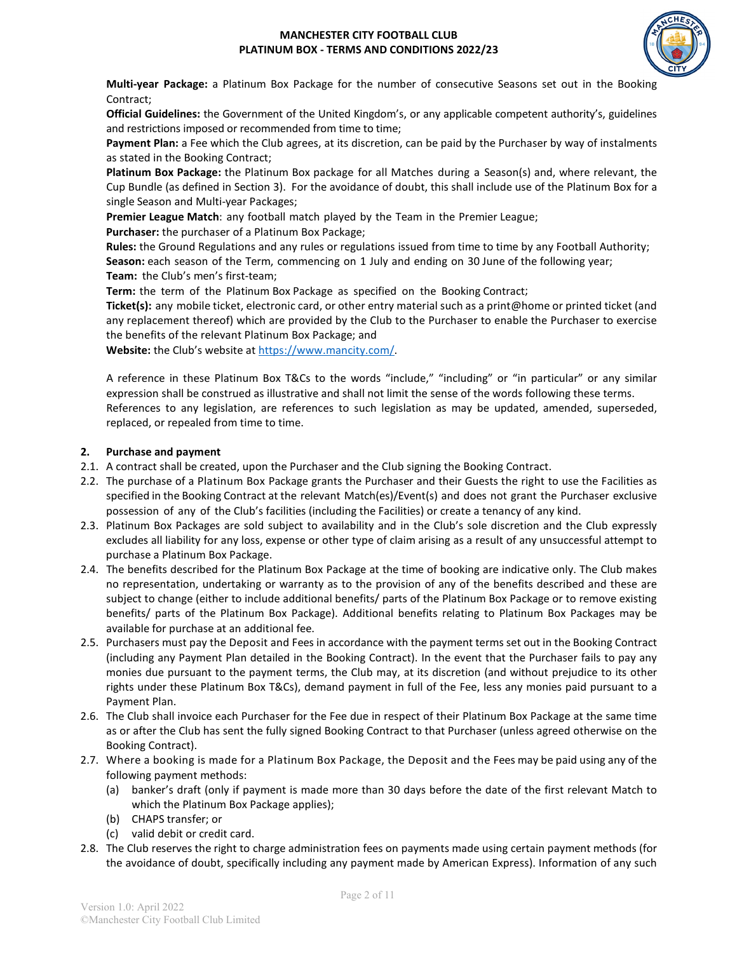

**Multi-year Package:** a Platinum Box Package for the number of consecutive Seasons set out in the Booking Contract;

**Official Guidelines:** the Government of the United Kingdom's, or any applicable competent authority's, guidelines and restrictions imposed or recommended from time to time;

**Payment Plan:** a Fee which the Club agrees, at its discretion, can be paid by the Purchaser by way of instalments as stated in the Booking Contract;

**Platinum Box Package:** the Platinum Box package for all Matches during a Season(s) and, where relevant, the Cup Bundle (as defined in Section 3). For the avoidance of doubt, this shall include use of the Platinum Box for a single Season and Multi-year Packages;

**Premier League Match**: any football match played by the Team in the Premier League;

**Purchaser:** the purchaser of a Platinum Box Package;

**Rules:** the Ground Regulations and any rules or regulations issued from time to time by any Football Authority; **Season:** each season of the Term, commencing on 1 July and ending on 30 June of the following year; **Team:** the Club's men's first-team;

**Term:** the term of the Platinum Box Package as specified on the Booking Contract;

**Ticket(s):** any mobile ticket, electronic card, or other entry material such as a print@home or printed ticket (and any replacement thereof) which are provided by the Club to the Purchaser to enable the Purchaser to exercise the benefits of the relevant Platinum Box Package; and

**Website:** the Club's website at [https://www.mancity.com/.](https://www.mancity.com/)

A reference in these Platinum Box T&Cs to the words "include," "including" or "in particular" or any similar expression shall be construed as illustrative and shall not limit the sense of the words following these terms. References to any legislation, are references to such legislation as may be updated, amended, superseded, replaced, or repealed from time to time.

#### **2. Purchase and payment**

- 2.1. A contract shall be created, upon the Purchaser and the Club signing the Booking Contract.
- 2.2. The purchase of a Platinum Box Package grants the Purchaser and their Guests the right to use the Facilities as specified in the Booking Contract at the relevant Match(es)/Event(s) and does not grant the Purchaser exclusive possession of any of the Club's facilities (including the Facilities) or create a tenancy of any kind.
- 2.3. Platinum Box Packages are sold subject to availability and in the Club's sole discretion and the Club expressly excludes all liability for any loss, expense or other type of claim arising as a result of any unsuccessful attempt to purchase a Platinum Box Package.
- 2.4. The benefits described for the Platinum Box Package at the time of booking are indicative only. The Club makes no representation, undertaking or warranty as to the provision of any of the benefits described and these are subject to change (either to include additional benefits/ parts of the Platinum Box Package or to remove existing benefits/ parts of the Platinum Box Package). Additional benefits relating to Platinum Box Packages may be available for purchase at an additional fee.
- 2.5. Purchasers must pay the Deposit and Fees in accordance with the payment terms set out in the Booking Contract (including any Payment Plan detailed in the Booking Contract). In the event that the Purchaser fails to pay any monies due pursuant to the payment terms, the Club may, at its discretion (and without prejudice to its other rights under these Platinum Box T&Cs), demand payment in full of the Fee, less any monies paid pursuant to a Payment Plan.
- 2.6. The Club shall invoice each Purchaser for the Fee due in respect of their Platinum Box Package at the same time as or after the Club has sent the fully signed Booking Contract to that Purchaser (unless agreed otherwise on the Booking Contract).
- 2.7. Where a booking is made for a Platinum Box Package, the Deposit and the Fees may be paid using any of the following payment methods:
	- (a) banker's draft (only if payment is made more than 30 days before the date of the first relevant Match to which the Platinum Box Package applies);
	- (b) CHAPS transfer; or
	- (c) valid debit or credit card.
- 2.8. The Club reserves the right to charge administration fees on payments made using certain payment methods (for the avoidance of doubt, specifically including any payment made by American Express). Information of any such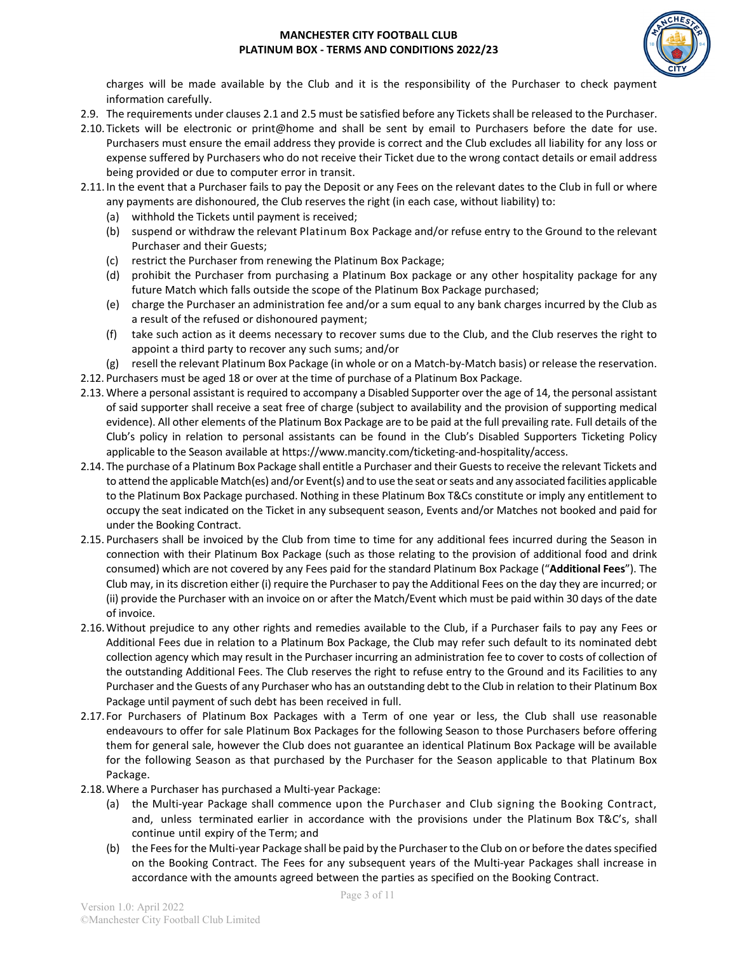

charges will be made available by the Club and it is the responsibility of the Purchaser to check payment information carefully.

- 2.9. The requirements under clauses 2.1 and 2.5 must be satisfied before any Tickets shall be released to the Purchaser.
- 2.10. Tickets will be electronic or print@home and shall be sent by email to Purchasers before the date for use. Purchasers must ensure the email address they provide is correct and the Club excludes all liability for any loss or expense suffered by Purchasers who do not receive their Ticket due to the wrong contact details or email address being provided or due to computer error in transit.
- 2.11.In the event that a Purchaser fails to pay the Deposit or any Fees on the relevant dates to the Club in full or where any payments are dishonoured, the Club reserves the right (in each case, without liability) to:
	- (a) withhold the Tickets until payment is received;
	- (b) suspend or withdraw the relevant Platinum Box Package and/or refuse entry to the Ground to the relevant Purchaser and their Guests;
	- (c) restrict the Purchaser from renewing the Platinum Box Package;
	- (d) prohibit the Purchaser from purchasing a Platinum Box package or any other hospitality package for any future Match which falls outside the scope of the Platinum Box Package purchased;
	- (e) charge the Purchaser an administration fee and/or a sum equal to any bank charges incurred by the Club as a result of the refused or dishonoured payment;
	- (f) take such action as it deems necessary to recover sums due to the Club, and the Club reserves the right to appoint a third party to recover any such sums; and/or
	- (g) resell the relevant Platinum Box Package (in whole or on a Match-by-Match basis) or release the reservation.
- 2.12. Purchasers must be aged 18 or over at the time of purchase of a Platinum Box Package.
- 2.13. Where a personal assistant is required to accompany a Disabled Supporter over the age of 14, the personal assistant of said supporter shall receive a seat free of charge (subject to availability and the provision of supporting medical evidence). All other elements of the Platinum Box Package are to be paid at the full prevailing rate. Full details of the Club's policy in relation to personal assistants can be found in the Club's Disabled Supporters Ticketing Policy applicable to the Season available at https://www.mancity.com/ticketing-and-hospitality/access.
- 2.14. The purchase of a Platinum Box Package shall entitle a Purchaser and their Guests to receive the relevant Tickets and to attend the applicable Match(es) and/or Event(s) and to use the seat or seats and any associated facilities applicable to the Platinum Box Package purchased. Nothing in these Platinum Box T&Cs constitute or imply any entitlement to occupy the seat indicated on the Ticket in any subsequent season, Events and/or Matches not booked and paid for under the Booking Contract.
- 2.15. Purchasers shall be invoiced by the Club from time to time for any additional fees incurred during the Season in connection with their Platinum Box Package (such as those relating to the provision of additional food and drink consumed) which are not covered by any Fees paid for the standard Platinum Box Package ("**Additional Fees**"). The Club may, in its discretion either (i) require the Purchaser to pay the Additional Fees on the day they are incurred; or (ii) provide the Purchaser with an invoice on or after the Match/Event which must be paid within 30 days of the date of invoice.
- 2.16.Without prejudice to any other rights and remedies available to the Club, if a Purchaser fails to pay any Fees or Additional Fees due in relation to a Platinum Box Package, the Club may refer such default to its nominated debt collection agency which may result in the Purchaser incurring an administration fee to cover to costs of collection of the outstanding Additional Fees. The Club reserves the right to refuse entry to the Ground and its Facilities to any Purchaser and the Guests of any Purchaser who has an outstanding debt to the Club in relation to their Platinum Box Package until payment of such debt has been received in full.
- 2.17. For Purchasers of Platinum Box Packages with a Term of one year or less, the Club shall use reasonable endeavours to offer for sale Platinum Box Packages for the following Season to those Purchasers before offering them for general sale, however the Club does not guarantee an identical Platinum Box Package will be available for the following Season as that purchased by the Purchaser for the Season applicable to that Platinum Box Package.
- 2.18.Where a Purchaser has purchased a Multi-year Package:
	- (a) the Multi-year Package shall commence upon the Purchaser and Club signing the Booking Contract, and, unless terminated earlier in accordance with the provisions under the Platinum Box T&C's, shall continue until expiry of the Term; and
	- (b) the Fees for the Multi-year Package shall be paid by the Purchaserto the Club on or before the dates specified on the Booking Contract. The Fees for any subsequent years of the Multi-year Packages shall increase in accordance with the amounts agreed between the parties as specified on the Booking Contract.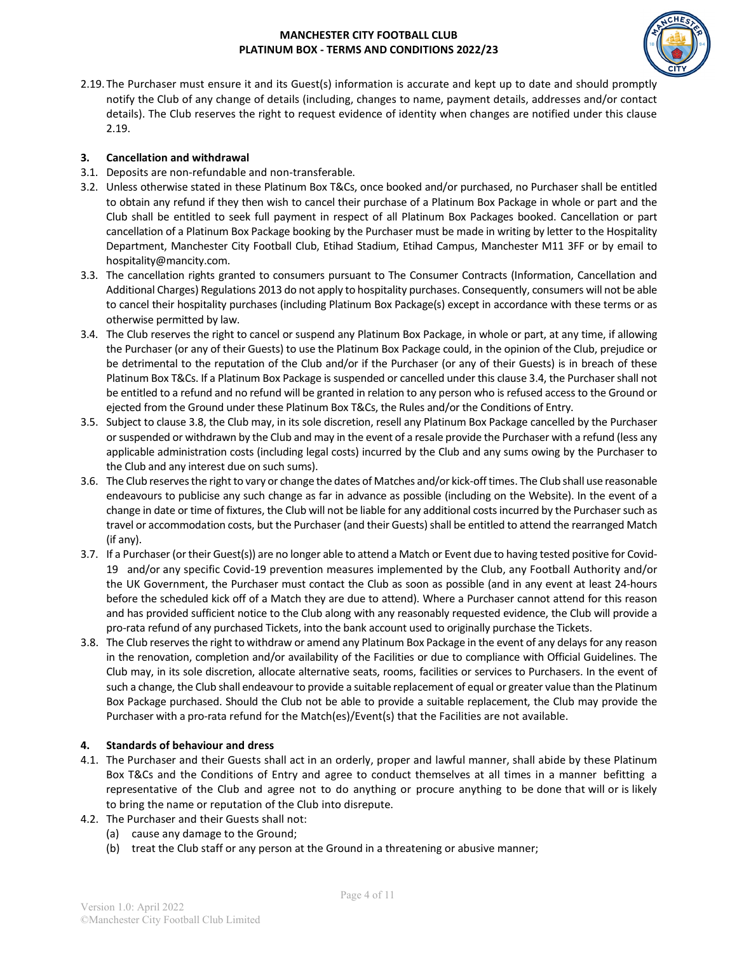

2.19.The Purchaser must ensure it and its Guest(s) information is accurate and kept up to date and should promptly notify the Club of any change of details (including, changes to name, payment details, addresses and/or contact details). The Club reserves the right to request evidence of identity when changes are notified under this clause 2.19.

### **3. Cancellation and withdrawal**

- 3.1. Deposits are non-refundable and non-transferable.
- 3.2. Unless otherwise stated in these Platinum Box T&Cs, once booked and/or purchased, no Purchaser shall be entitled to obtain any refund if they then wish to cancel their purchase of a Platinum Box Package in whole or part and the Club shall be entitled to seek full payment in respect of all Platinum Box Packages booked. Cancellation or part cancellation of a Platinum Box Package booking by the Purchaser must be made in writing by letter to the Hospitality Department, Manchester City Football Club, Etihad Stadium, Etihad Campus, Manchester M11 3FF or by email to hospitality@mancity.com.
- 3.3. The cancellation rights granted to consumers pursuant to The Consumer Contracts (Information, Cancellation and Additional Charges) Regulations 2013 do not apply to hospitality purchases. Consequently, consumers will not be able to cancel their hospitality purchases (including Platinum Box Package(s) except in accordance with these terms or as otherwise permitted by law.
- 3.4. The Club reserves the right to cancel or suspend any Platinum Box Package, in whole or part, at any time, if allowing the Purchaser (or any of their Guests) to use the Platinum Box Package could, in the opinion of the Club, prejudice or be detrimental to the reputation of the Club and/or if the Purchaser (or any of their Guests) is in breach of these Platinum Box T&Cs. If a Platinum Box Package is suspended or cancelled under this clause 3.4, the Purchaser shall not be entitled to a refund and no refund will be granted in relation to any person who is refused access to the Ground or ejected from the Ground under these Platinum Box T&Cs, the Rules and/or the Conditions of Entry.
- 3.5. Subject to clause 3.8, the Club may, in its sole discretion, resell any Platinum Box Package cancelled by the Purchaser or suspended or withdrawn by the Club and may in the event of a resale provide the Purchaser with a refund (less any applicable administration costs (including legal costs) incurred by the Club and any sums owing by the Purchaser to the Club and any interest due on such sums).
- 3.6. The Club reserves the right to vary or change the dates of Matches and/or kick-off times. The Club shall use reasonable endeavours to publicise any such change as far in advance as possible (including on the Website). In the event of a change in date or time of fixtures, the Club will not be liable for any additional costs incurred by the Purchaser such as travel or accommodation costs, but the Purchaser (and their Guests) shall be entitled to attend the rearranged Match (if any).
- 3.7. If a Purchaser (or their Guest(s)) are no longer able to attend a Match or Event due to having tested positive for Covid-19 and/or any specific Covid-19 prevention measures implemented by the Club, any Football Authority and/or the UK Government, the Purchaser must contact the Club as soon as possible (and in any event at least 24-hours before the scheduled kick off of a Match they are due to attend). Where a Purchaser cannot attend for this reason and has provided sufficient notice to the Club along with any reasonably requested evidence, the Club will provide a pro-rata refund of any purchased Tickets, into the bank account used to originally purchase the Tickets.
- 3.8. The Club reserves the right to withdraw or amend any Platinum Box Package in the event of any delays for any reason in the renovation, completion and/or availability of the Facilities or due to compliance with Official Guidelines. The Club may, in its sole discretion, allocate alternative seats, rooms, facilities or services to Purchasers. In the event of such a change, the Club shall endeavour to provide a suitable replacement of equal or greater value than the Platinum Box Package purchased. Should the Club not be able to provide a suitable replacement, the Club may provide the Purchaser with a pro-rata refund for the Match(es)/Event(s) that the Facilities are not available.

## **4. Standards of behaviour and dress**

- 4.1. The Purchaser and their Guests shall act in an orderly, proper and lawful manner, shall abide by these Platinum Box T&Cs and the Conditions of Entry and agree to conduct themselves at all times in a manner befitting a representative of the Club and agree not to do anything or procure anything to be done that will or is likely to bring the name or reputation of the Club into disrepute.
- 4.2. The Purchaser and their Guests shall not:
	- (a) cause any damage to the Ground;
	- (b) treat the Club staff or any person at the Ground in a threatening or abusive manner;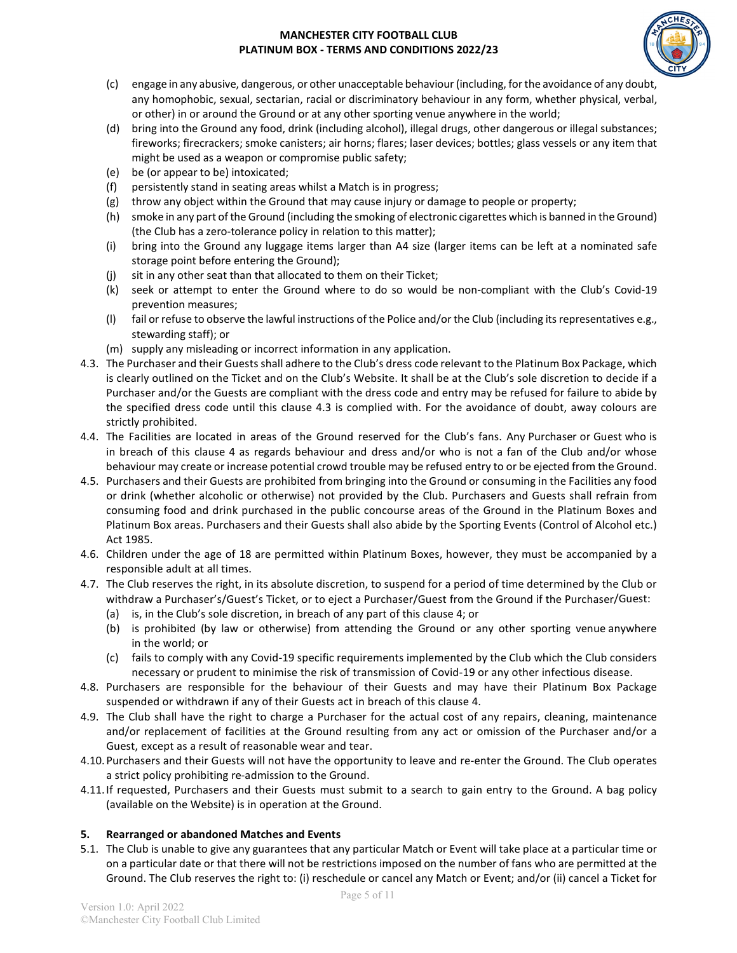

- (c) engage in any abusive, dangerous, or other unacceptable behaviour (including, for the avoidance of any doubt, any homophobic, sexual, sectarian, racial or discriminatory behaviour in any form, whether physical, verbal, or other) in or around the Ground or at any other sporting venue anywhere in the world;
- (d) bring into the Ground any food, drink (including alcohol), illegal drugs, other dangerous or illegal substances; fireworks; firecrackers; smoke canisters; air horns; flares; laser devices; bottles; glass vessels or any item that might be used as a weapon or compromise public safety;
- (e) be (or appear to be) intoxicated;
- (f) persistently stand in seating areas whilst a Match is in progress;
- (g) throw any object within the Ground that may cause injury or damage to people or property;
- (h) smoke in any part of the Ground (including the smoking of electronic cigarettes which is banned in the Ground) (the Club has a zero-tolerance policy in relation to this matter);
- (i) bring into the Ground any luggage items larger than A4 size (larger items can be left at a nominated safe storage point before entering the Ground);
- (j) sit in any other seat than that allocated to them on their Ticket;
- (k) seek or attempt to enter the Ground where to do so would be non-compliant with the Club's Covid-19 prevention measures;
- (l) fail or refuse to observe the lawful instructions of the Police and/or the Club (including its representatives e.g., stewarding staff); or
- (m) supply any misleading or incorrect information in any application.
- 4.3. The Purchaser and their Guests shall adhere to the Club's dress code relevant to the Platinum Box Package, which is clearly outlined on the Ticket and on the Club's Website. It shall be at the Club's sole discretion to decide if a Purchaser and/or the Guests are compliant with the dress code and entry may be refused for failure to abide by the specified dress code until this clause 4.3 is complied with. For the avoidance of doubt, away colours are strictly prohibited.
- 4.4. The Facilities are located in areas of the Ground reserved for the Club's fans. Any Purchaser or Guest who is in breach of this clause 4 as regards behaviour and dress and/or who is not a fan of the Club and/or whose behaviour may create or increase potential crowd trouble may be refused entry to or be ejected from the Ground.
- 4.5. Purchasers and their Guests are prohibited from bringing into the Ground or consuming in the Facilities any food or drink (whether alcoholic or otherwise) not provided by the Club. Purchasers and Guests shall refrain from consuming food and drink purchased in the public concourse areas of the Ground in the Platinum Boxes and Platinum Box areas. Purchasers and their Guests shall also abide by the Sporting Events (Control of Alcohol etc.) Act 1985.
- 4.6. Children under the age of 18 are permitted within Platinum Boxes, however, they must be accompanied by a responsible adult at all times.
- 4.7. The Club reserves the right, in its absolute discretion, to suspend for a period of time determined by the Club or withdraw a Purchaser's/Guest's Ticket, or to eject a Purchaser/Guest from the Ground if the Purchaser/Guest:
	- (a) is, in the Club's sole discretion, in breach of any part of this clause 4; or
	- (b) is prohibited (by law or otherwise) from attending the Ground or any other sporting venue anywhere in the world; or
	- (c) fails to comply with any Covid-19 specific requirements implemented by the Club which the Club considers necessary or prudent to minimise the risk of transmission of Covid-19 or any other infectious disease.
- 4.8. Purchasers are responsible for the behaviour of their Guests and may have their Platinum Box Package suspended or withdrawn if any of their Guests act in breach of this clause 4.
- 4.9. The Club shall have the right to charge a Purchaser for the actual cost of any repairs, cleaning, maintenance and/or replacement of facilities at the Ground resulting from any act or omission of the Purchaser and/or a Guest, except as a result of reasonable wear and tear.
- 4.10.Purchasers and their Guests will not have the opportunity to leave and re-enter the Ground. The Club operates a strict policy prohibiting re-admission to the Ground.
- 4.11.If requested, Purchasers and their Guests must submit to a search to gain entry to the Ground. A bag policy (available on the Website) is in operation at the Ground.

# **5. Rearranged or abandoned Matches and Events**

5.1. The Club is unable to give any guarantees that any particular Match or Event will take place at a particular time or on a particular date or that there will not be restrictions imposed on the number of fans who are permitted at the Ground. The Club reserves the right to: (i) reschedule or cancel any Match or Event; and/or (ii) cancel a Ticket for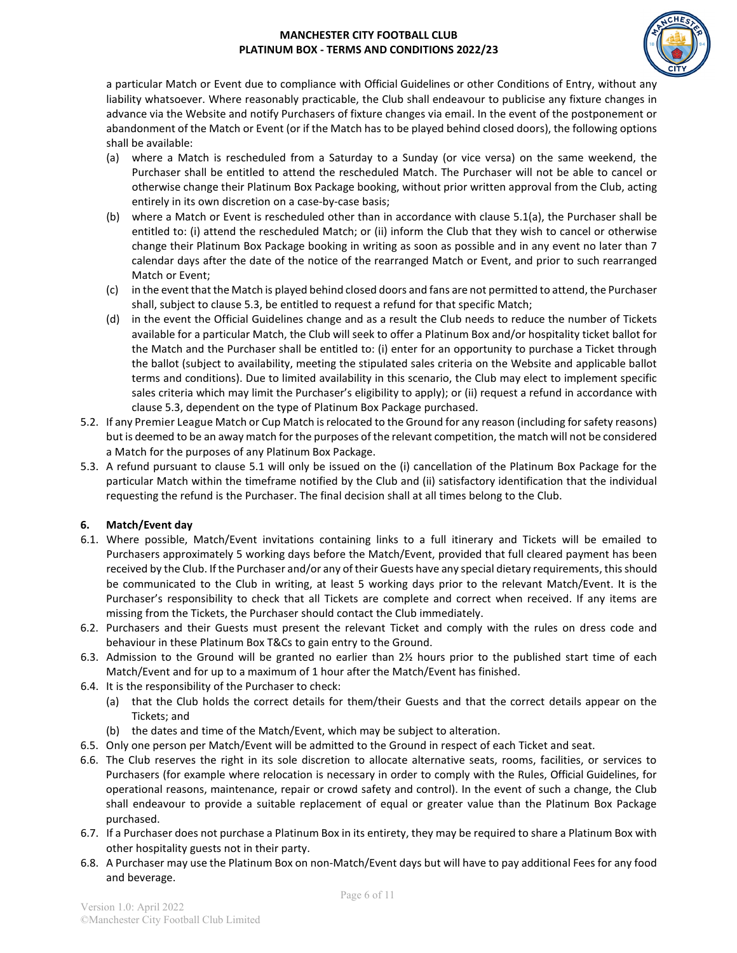

a particular Match or Event due to compliance with Official Guidelines or other Conditions of Entry, without any liability whatsoever. Where reasonably practicable, the Club shall endeavour to publicise any fixture changes in advance via the Website and notify Purchasers of fixture changes via email. In the event of the postponement or abandonment of the Match or Event (or if the Match has to be played behind closed doors), the following options shall be available:

- (a) where a Match is rescheduled from a Saturday to a Sunday (or vice versa) on the same weekend, the Purchaser shall be entitled to attend the rescheduled Match. The Purchaser will not be able to cancel or otherwise change their Platinum Box Package booking, without prior written approval from the Club, acting entirely in its own discretion on a case-by-case basis;
- (b) where a Match or Event is rescheduled other than in accordance with clause 5.1(a), the Purchaser shall be entitled to: (i) attend the rescheduled Match; or (ii) inform the Club that they wish to cancel or otherwise change their Platinum Box Package booking in writing as soon as possible and in any event no later than 7 calendar days after the date of the notice of the rearranged Match or Event, and prior to such rearranged Match or Event;
- (c) in the event that the Match is played behind closed doors and fans are not permitted to attend, the Purchaser shall, subject to clause 5.3, be entitled to request a refund for that specific Match;
- (d) in the event the Official Guidelines change and as a result the Club needs to reduce the number of Tickets available for a particular Match, the Club will seek to offer a Platinum Box and/or hospitality ticket ballot for the Match and the Purchaser shall be entitled to: (i) enter for an opportunity to purchase a Ticket through the ballot (subject to availability, meeting the stipulated sales criteria on the Website and applicable ballot terms and conditions). Due to limited availability in this scenario, the Club may elect to implement specific sales criteria which may limit the Purchaser's eligibility to apply); or (ii) request a refund in accordance with clause 5.3, dependent on the type of Platinum Box Package purchased.
- 5.2. If any Premier League Match or Cup Match is relocated to the Ground for any reason (including forsafety reasons) but is deemed to be an away match for the purposes of the relevant competition, the match will not be considered a Match for the purposes of any Platinum Box Package.
- 5.3. A refund pursuant to clause 5.1 will only be issued on the (i) cancellation of the Platinum Box Package for the particular Match within the timeframe notified by the Club and (ii) satisfactory identification that the individual requesting the refund is the Purchaser. The final decision shall at all times belong to the Club.

## **6. Match/Event day**

- 6.1. Where possible, Match/Event invitations containing links to a full itinerary and Tickets will be emailed to Purchasers approximately 5 working days before the Match/Event, provided that full cleared payment has been received by the Club. Ifthe Purchaser and/or any of their Guests have any special dietary requirements, this should be communicated to the Club in writing, at least 5 working days prior to the relevant Match/Event. It is the Purchaser's responsibility to check that all Tickets are complete and correct when received. If any items are missing from the Tickets, the Purchaser should contact the Club immediately.
- 6.2. Purchasers and their Guests must present the relevant Ticket and comply with the rules on dress code and behaviour in these Platinum Box T&Cs to gain entry to the Ground.
- 6.3. Admission to the Ground will be granted no earlier than 2½ hours prior to the published start time of each Match/Event and for up to a maximum of 1 hour after the Match/Event has finished.
- 6.4. It is the responsibility of the Purchaser to check:
	- (a) that the Club holds the correct details for them/their Guests and that the correct details appear on the Tickets; and
	- (b) the dates and time of the Match/Event, which may be subject to alteration.
- 6.5. Only one person per Match/Event will be admitted to the Ground in respect of each Ticket and seat.
- 6.6. The Club reserves the right in its sole discretion to allocate alternative seats, rooms, facilities, or services to Purchasers (for example where relocation is necessary in order to comply with the Rules, Official Guidelines, for operational reasons, maintenance, repair or crowd safety and control). In the event of such a change, the Club shall endeavour to provide a suitable replacement of equal or greater value than the Platinum Box Package purchased.
- 6.7. If a Purchaser does not purchase a Platinum Box in its entirety, they may be required to share a Platinum Box with other hospitality guests not in their party.
- 6.8. A Purchaser may use the Platinum Box on non-Match/Event days but will have to pay additional Fees for any food and beverage.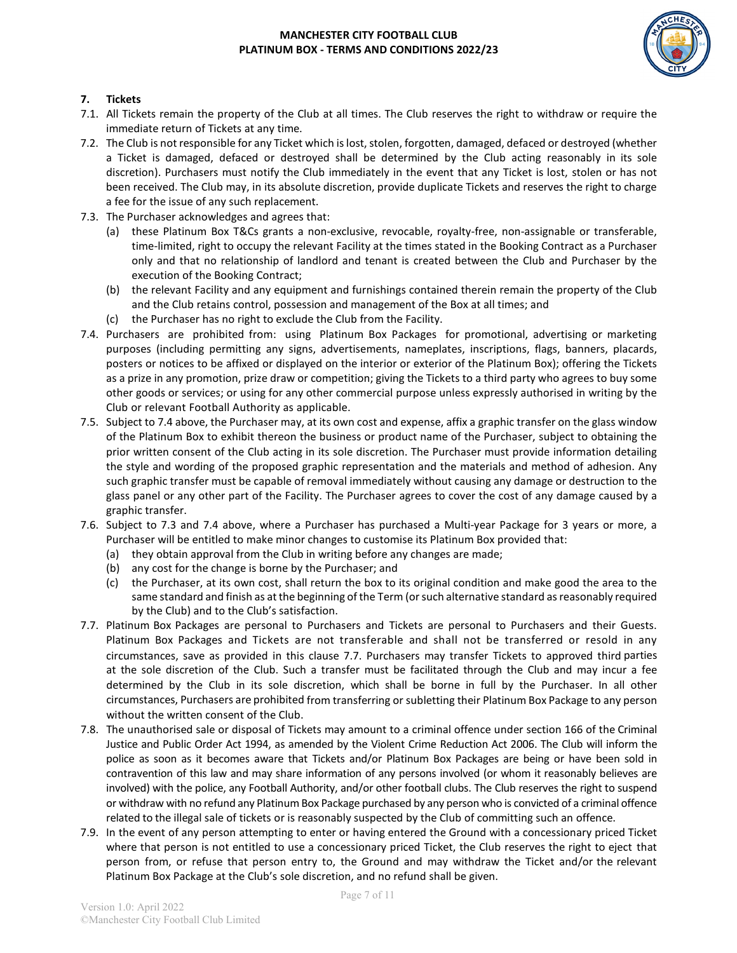

## **7. Tickets**

- 7.1. All Tickets remain the property of the Club at all times. The Club reserves the right to withdraw or require the immediate return of Tickets at any time.
- 7.2. The Club is not responsible for any Ticket which is lost, stolen, forgotten, damaged, defaced or destroyed (whether a Ticket is damaged, defaced or destroyed shall be determined by the Club acting reasonably in its sole discretion). Purchasers must notify the Club immediately in the event that any Ticket is lost, stolen or has not been received. The Club may, in its absolute discretion, provide duplicate Tickets and reserves the right to charge a fee for the issue of any such replacement.
- 7.3. The Purchaser acknowledges and agrees that:
	- (a) these Platinum Box T&Cs grants a non-exclusive, revocable, royalty-free, non-assignable or transferable, time-limited, right to occupy the relevant Facility at the times stated in the Booking Contract as a Purchaser only and that no relationship of landlord and tenant is created between the Club and Purchaser by the execution of the Booking Contract;
	- (b) the relevant Facility and any equipment and furnishings contained therein remain the property of the Club and the Club retains control, possession and management of the Box at all times; and
	- (c) the Purchaser has no right to exclude the Club from the Facility.
- 7.4. Purchasers are prohibited from: using Platinum Box Packages for promotional, advertising or marketing purposes (including permitting any signs, advertisements, nameplates, inscriptions, flags, banners, placards, posters or notices to be affixed or displayed on the interior or exterior of the Platinum Box); offering the Tickets as a prize in any promotion, prize draw or competition; giving the Tickets to a third party who agrees to buy some other goods or services; or using for any other commercial purpose unless expressly authorised in writing by the Club or relevant Football Authority as applicable.
- 7.5. Subject to 7.4 above, the Purchaser may, at its own cost and expense, affix a graphic transfer on the glass window of the Platinum Box to exhibit thereon the business or product name of the Purchaser, subject to obtaining the prior written consent of the Club acting in its sole discretion. The Purchaser must provide information detailing the style and wording of the proposed graphic representation and the materials and method of adhesion. Any such graphic transfer must be capable of removal immediately without causing any damage or destruction to the glass panel or any other part of the Facility. The Purchaser agrees to cover the cost of any damage caused by a graphic transfer.
- 7.6. Subject to 7.3 and 7.4 above, where a Purchaser has purchased a Multi-year Package for 3 years or more, a Purchaser will be entitled to make minor changes to customise its Platinum Box provided that:
	- (a) they obtain approval from the Club in writing before any changes are made;
	- (b) any cost for the change is borne by the Purchaser; and
	- (c) the Purchaser, at its own cost, shall return the box to its original condition and make good the area to the same standard and finish as at the beginning of the Term (or such alternative standard as reasonably required by the Club) and to the Club's satisfaction.
- 7.7. Platinum Box Packages are personal to Purchasers and Tickets are personal to Purchasers and their Guests. Platinum Box Packages and Tickets are not transferable and shall not be transferred or resold in any circumstances, save as provided in this clause 7.7. Purchasers may transfer Tickets to approved third parties at the sole discretion of the Club. Such a transfer must be facilitated through the Club and may incur a fee determined by the Club in its sole discretion, which shall be borne in full by the Purchaser. In all other circumstances, Purchasers are prohibited from transferring or subletting their Platinum Box Package to any person without the written consent of the Club.
- 7.8. The unauthorised sale or disposal of Tickets may amount to a criminal offence under section 166 of the Criminal Justice and Public Order Act 1994, as amended by the Violent Crime Reduction Act 2006. The Club will inform the police as soon as it becomes aware that Tickets and/or Platinum Box Packages are being or have been sold in contravention of this law and may share information of any persons involved (or whom it reasonably believes are involved) with the police, any Football Authority, and/or other football clubs. The Club reserves the right to suspend or withdraw with no refund any Platinum Box Package purchased by any person who is convicted of a criminal offence related to the illegal sale of tickets or is reasonably suspected by the Club of committing such an offence.
- 7.9. In the event of any person attempting to enter or having entered the Ground with a concessionary priced Ticket where that person is not entitled to use a concessionary priced Ticket, the Club reserves the right to eject that person from, or refuse that person entry to, the Ground and may withdraw the Ticket and/or the relevant Platinum Box Package at the Club's sole discretion, and no refund shall be given.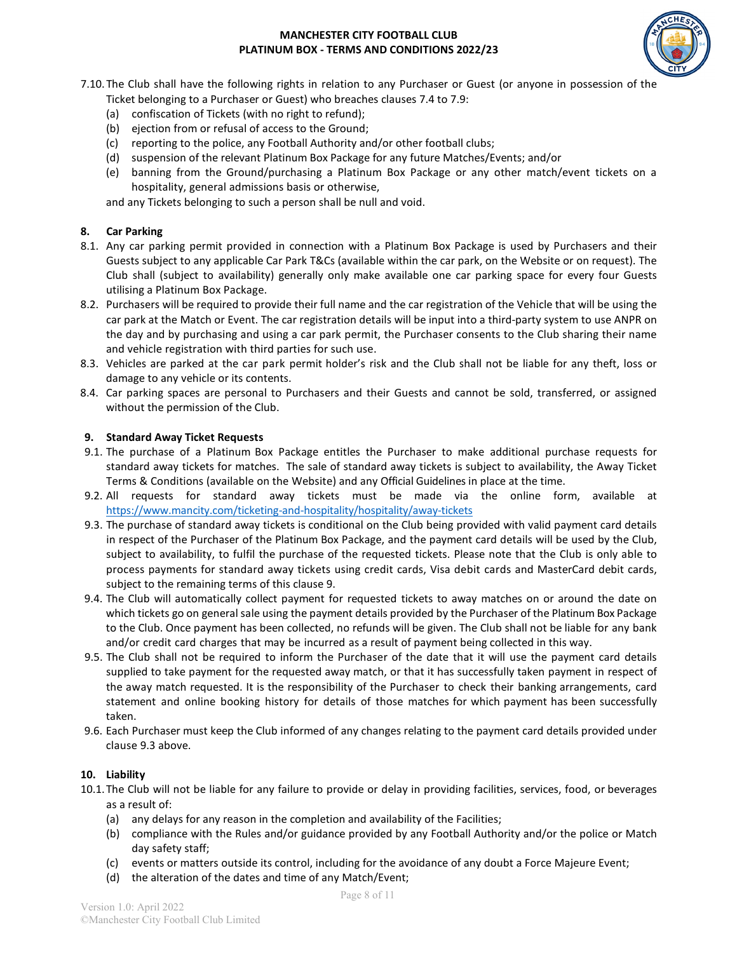

7.10.The Club shall have the following rights in relation to any Purchaser or Guest (or anyone in possession of the

- Ticket belonging to a Purchaser or Guest) who breaches clauses 7.4 to 7.9:
- (a) confiscation of Tickets (with no right to refund);
- (b) ejection from or refusal of access to the Ground;
- (c) reporting to the police, any Football Authority and/or other football clubs;
- (d) suspension of the relevant Platinum Box Package for any future Matches/Events; and/or
- (e) banning from the Ground/purchasing a Platinum Box Package or any other match/event tickets on a hospitality, general admissions basis or otherwise,

and any Tickets belonging to such a person shall be null and void.

#### **8. Car Parking**

- 8.1. Any car parking permit provided in connection with a Platinum Box Package is used by Purchasers and their Guests subject to any applicable Car Park T&Cs (available within the car park, on the Website or on request). The Club shall (subject to availability) generally only make available one car parking space for every four Guests utilising a Platinum Box Package.
- 8.2. Purchasers will be required to provide their full name and the car registration of the Vehicle that will be using the car park at the Match or Event. The car registration details will be input into a third-party system to use ANPR on the day and by purchasing and using a car park permit, the Purchaser consents to the Club sharing their name and vehicle registration with third parties for such use.
- 8.3. Vehicles are parked at the car park permit holder's risk and the Club shall not be liable for any theft, loss or damage to any vehicle or its contents.
- 8.4. Car parking spaces are personal to Purchasers and their Guests and cannot be sold, transferred, or assigned without the permission of the Club.

#### **9. Standard Away Ticket Requests**

- 9.1. The purchase of a Platinum Box Package entitles the Purchaser to make additional purchase requests for standard away tickets for matches. The sale of standard away tickets is subject to availability, the Away Ticket Terms & Conditions (available on the Website) and any Official Guidelines in place at the time.
- 9.2. All requests for standard away tickets must be made via the online form, available at <https://www.mancity.com/ticketing-and-hospitality/hospitality/away-tickets>
- 9.3. The purchase of standard away tickets is conditional on the Club being provided with valid payment card details in respect of the Purchaser of the Platinum Box Package, and the payment card details will be used by the Club, subject to availability, to fulfil the purchase of the requested tickets. Please note that the Club is only able to process payments for standard away tickets using credit cards, Visa debit cards and MasterCard debit cards, subject to the remaining terms of this clause 9.
- 9.4. The Club will automatically collect payment for requested tickets to away matches on or around the date on which tickets go on general sale using the payment details provided by the Purchaser of the Platinum Box Package to the Club. Once payment has been collected, no refunds will be given. The Club shall not be liable for any bank and/or credit card charges that may be incurred as a result of payment being collected in this way.
- 9.5. The Club shall not be required to inform the Purchaser of the date that it will use the payment card details supplied to take payment for the requested away match, or that it has successfully taken payment in respect of the away match requested. It is the responsibility of the Purchaser to check their banking arrangements, card statement and online booking history for details of those matches for which payment has been successfully taken.
- 9.6. Each Purchaser must keep the Club informed of any changes relating to the payment card details provided under clause 9.3 above.

#### **10. Liability**

- 10.1.The Club will not be liable for any failure to provide or delay in providing facilities, services, food, or beverages as a result of:
	- (a) any delays for any reason in the completion and availability of the Facilities;
	- (b) compliance with the Rules and/or guidance provided by any Football Authority and/or the police or Match day safety staff;
	- (c) events or matters outside its control, including for the avoidance of any doubt a Force Majeure Event;
	- (d) the alteration of the dates and time of any Match/Event;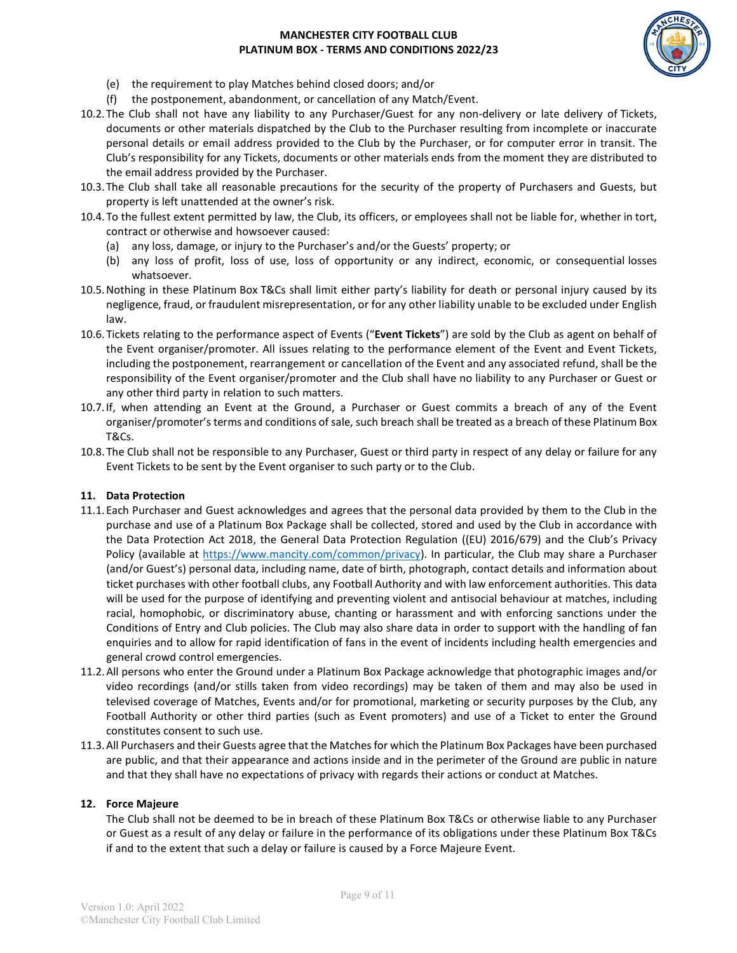

- (e) the requirement to play Matches behind closed doors; and/or
- (f) the postponement, abandonment, or cancellation of any Match/Event.
- 10.2.The Club shall not have any liability to any Purchaser/Guest for any non-delivery or late delivery of Tickets, documents or other materials dispatched by the Club to the Purchaser resulting from incomplete or inaccurate personal details or email address provided to the Club by the Purchaser, or for computer error in transit. The Club's responsibility for any Tickets, documents or other materials ends from the moment they are distributed to the email address provided by the Purchaser.
- 10.3.The Club shall take all reasonable precautions for the security of the property of Purchasers and Guests, but property is left unattended at the owner's risk.
- 10.4.To the fullest extent permitted by law, the Club, its officers, or employees shall not be liable for, whether in tort, contract or otherwise and howsoever caused:
	- (a) any loss, damage, or injury to the Purchaser's and/or the Guests' property; or
	- (b) any loss of profit, loss of use, loss of opportunity or any indirect, economic, or consequential losses whatsoever.
- 10.5.Nothing in these Platinum Box T&Cs shall limit either party's liability for death or personal injury caused by its negligence, fraud, or fraudulent misrepresentation, or for any other liability unable to be excluded under English law.
- 10.6.Tickets relating to the performance aspect of Events ("**Event Tickets**") are sold by the Club as agent on behalf of the Event organiser/promoter. All issues relating to the performance element of the Event and Event Tickets, including the postponement, rearrangement or cancellation of the Event and any associated refund, shall be the responsibility of the Event organiser/promoter and the Club shall have no liability to any Purchaser or Guest or any other third party in relation to such matters.
- 10.7.If, when attending an Event at the Ground, a Purchaser or Guest commits a breach of any of the Event organiser/promoter's terms and conditions of sale, such breach shall be treated as a breach of these Platinum Box T&Cs.
- 10.8.The Club shall not be responsible to any Purchaser, Guest or third party in respect of any delay or failure for any Event Tickets to be sent by the Event organiser to such party or to the Club.

#### **11. Data Protection**

- 11.1.Each Purchaser and Guest acknowledges and agrees that the personal data provided by them to the Club in the purchase and use of a Platinum Box Package shall be collected, stored and used by the Club in accordance with the Data Protection Act 2018, the General Data Protection Regulation ((EU) 2016/679) and the Club's Privacy Policy (available at [https://www.mancity.com/common/privacy\)](https://www.mancity.com/common/privacy). In particular, the Club may share a Purchaser (and/or Guest's) personal data, including name, date of birth, photograph, contact details and information about ticket purchases with other football clubs, any Football Authority and with law enforcement authorities. This data will be used for the purpose of identifying and preventing violent and antisocial behaviour at matches, including racial, homophobic, or discriminatory abuse, chanting or harassment and with enforcing sanctions under the Conditions of Entry and Club policies. The Club may also share data in order to support with the handling of fan enquiries and to allow for rapid identification of fans in the event of incidents including health emergencies and general crowd control emergencies.
- 11.2.All persons who enter the Ground under a Platinum Box Package acknowledge that photographic images and/or video recordings (and/or stills taken from video recordings) may be taken of them and may also be used in televised coverage of Matches, Events and/or for promotional, marketing or security purposes by the Club, any Football Authority or other third parties (such as Event promoters) and use of a Ticket to enter the Ground constitutes consent to such use.
- 11.3.All Purchasers and their Guests agree that the Matches for which the Platinum Box Packages have been purchased are public, and that their appearance and actions inside and in the perimeter of the Ground are public in nature and that they shall have no expectations of privacy with regards their actions or conduct at Matches.

#### **12. Force Majeure**

The Club shall not be deemed to be in breach of these Platinum Box T&Cs or otherwise liable to any Purchaser or Guest as a result of any delay or failure in the performance of its obligations under these Platinum Box T&Cs if and to the extent that such a delay or failure is caused by a Force Majeure Event.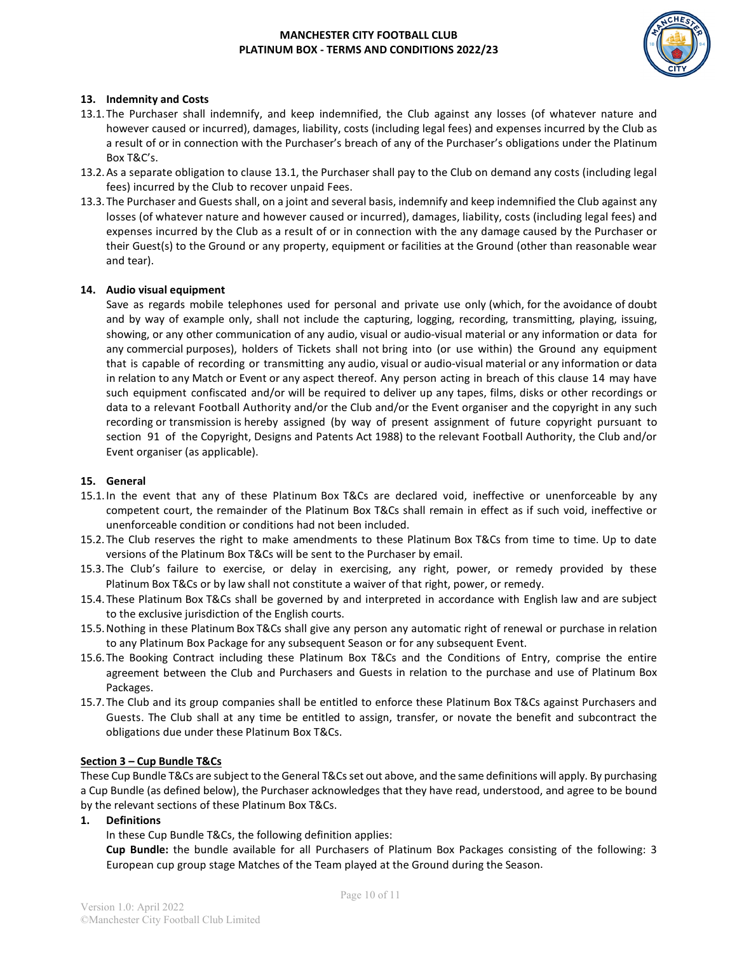

### **13. Indemnity and Costs**

- 13.1.The Purchaser shall indemnify, and keep indemnified, the Club against any losses (of whatever nature and however caused or incurred), damages, liability, costs (including legal fees) and expenses incurred by the Club as a result of or in connection with the Purchaser's breach of any of the Purchaser's obligations under the Platinum Box T&C's.
- 13.2.As a separate obligation to clause 13.1, the Purchaser shall pay to the Club on demand any costs (including legal fees) incurred by the Club to recover unpaid Fees.
- 13.3.The Purchaser and Guests shall, on a joint and several basis, indemnify and keep indemnified the Club against any losses (of whatever nature and however caused or incurred), damages, liability, costs (including legal fees) and expenses incurred by the Club as a result of or in connection with the any damage caused by the Purchaser or their Guest(s) to the Ground or any property, equipment or facilities at the Ground (other than reasonable wear and tear).

#### **14. Audio visual equipment**

Save as regards mobile telephones used for personal and private use only (which, for the avoidance of doubt and by way of example only, shall not include the capturing, logging, recording, transmitting, playing, issuing, showing, or any other communication of any audio, visual or audio-visual material or any information or data for any commercial purposes), holders of Tickets shall not bring into (or use within) the Ground any equipment that is capable of recording or transmitting any audio, visual or audio-visual material or any information or data in relation to any Match or Event or any aspect thereof. Any person acting in breach of this clause 14 may have such equipment confiscated and/or will be required to deliver up any tapes, films, disks or other recordings or data to a relevant Football Authority and/or the Club and/or the Event organiser and the copyright in any such recording or transmission is hereby assigned (by way of present assignment of future copyright pursuant to section 91 of the Copyright, Designs and Patents Act 1988) to the relevant Football Authority, the Club and/or Event organiser (as applicable).

### **15. General**

- 15.1.In the event that any of these Platinum Box T&Cs are declared void, ineffective or unenforceable by any competent court, the remainder of the Platinum Box T&Cs shall remain in effect as if such void, ineffective or unenforceable condition or conditions had not been included.
- 15.2.The Club reserves the right to make amendments to these Platinum Box T&Cs from time to time. Up to date versions of the Platinum Box T&Cs will be sent to the Purchaser by email.
- 15.3.The Club's failure to exercise, or delay in exercising, any right, power, or remedy provided by these Platinum Box T&Cs or by law shall not constitute a waiver of that right, power, or remedy.
- 15.4.These Platinum Box T&Cs shall be governed by and interpreted in accordance with English law and are subject to the exclusive jurisdiction of the English courts.
- 15.5.Nothing in these Platinum Box T&Cs shall give any person any automatic right of renewal or purchase in relation to any Platinum Box Package for any subsequent Season or for any subsequent Event.
- 15.6.The Booking Contract including these Platinum Box T&Cs and the Conditions of Entry, comprise the entire agreement between the Club and Purchasers and Guests in relation to the purchase and use of Platinum Box Packages.
- 15.7.The Club and its group companies shall be entitled to enforce these Platinum Box T&Cs against Purchasers and Guests. The Club shall at any time be entitled to assign, transfer, or novate the benefit and subcontract the obligations due under these Platinum Box T&Cs.

#### **Section 3 – Cup Bundle T&Cs**

These Cup Bundle T&Cs are subject to the General T&Cs set out above, and the same definitions will apply. By purchasing a Cup Bundle (as defined below), the Purchaser acknowledges that they have read, understood, and agree to be bound by the relevant sections of these Platinum Box T&Cs.

**1. Definitions**

In these Cup Bundle T&Cs, the following definition applies:

**Cup Bundle:** the bundle available for all Purchasers of Platinum Box Packages consisting of the following: 3 European cup group stage Matches of the Team played at the Ground during the Season.